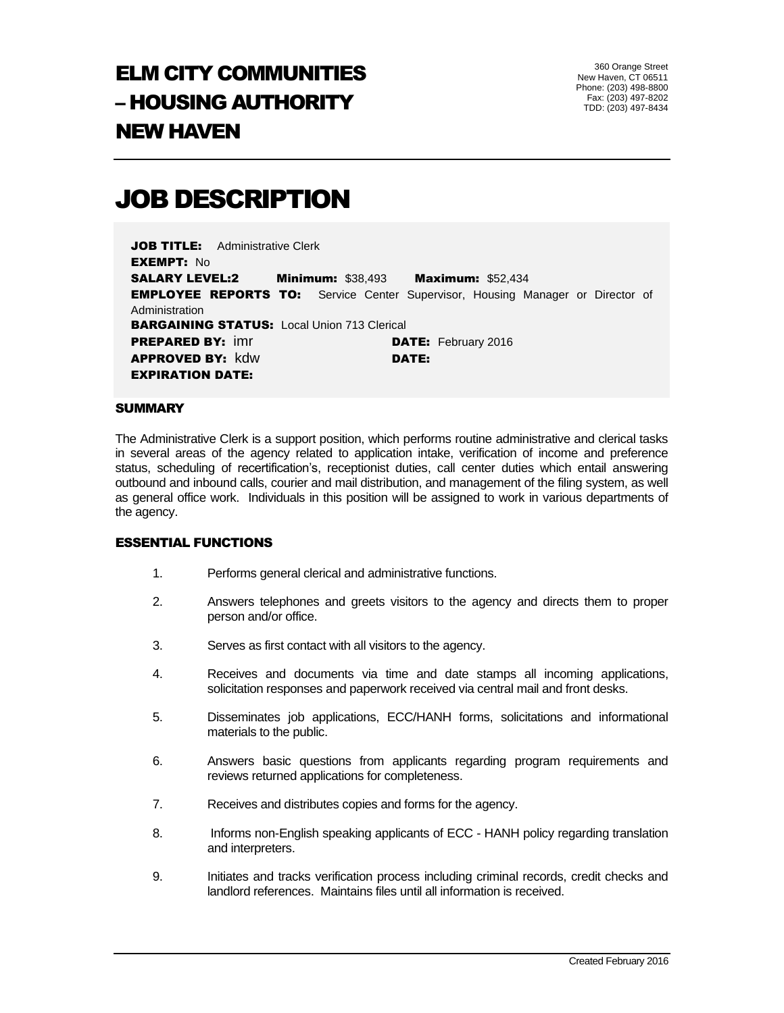# ELM CITY COMMUNITIES – HOUSING AUTHORITY NEW HAVEN

360 Orange Street New Haven, CT 06511 Phone: (203) 498-8800 Fax: (203) 497-8202 TDD: (203) 497-8434

## JOB DESCRIPTION

**JOB TITLE:** Administrative Clerk EXEMPT: No SALARY LEVEL:2 Minimum: \$38,493 Maximum: \$52,434 **EMPLOYEE REPORTS TO:** Service Center Supervisor, Housing Manager or Director of Administration **BARGAINING STATUS:** Local Union 713 Clerical **PREPARED BY:** imr **DATE:** February 2016 **APPROVED BY: kdw DATE:** EXPIRATION DATE:

#### **SUMMARY**

The Administrative Clerk is a support position, which performs routine administrative and clerical tasks in several areas of the agency related to application intake, verification of income and preference status, scheduling of recertification's, receptionist duties, call center duties which entail answering outbound and inbound calls, courier and mail distribution, and management of the filing system, as well as general office work. Individuals in this position will be assigned to work in various departments of the agency.

#### ESSENTIAL FUNCTIONS

- 1. Performs general clerical and administrative functions.
- 2. Answers telephones and greets visitors to the agency and directs them to proper person and/or office.
- 3. Serves as first contact with all visitors to the agency.
- 4. Receives and documents via time and date stamps all incoming applications, solicitation responses and paperwork received via central mail and front desks.
- 5. Disseminates job applications, ECC/HANH forms, solicitations and informational materials to the public.
- 6. Answers basic questions from applicants regarding program requirements and reviews returned applications for completeness.
- 7. Receives and distributes copies and forms for the agency.
- 8. Informs non-English speaking applicants of ECC HANH policy regarding translation and interpreters.
- 9. Initiates and tracks verification process including criminal records, credit checks and landlord references. Maintains files until all information is received.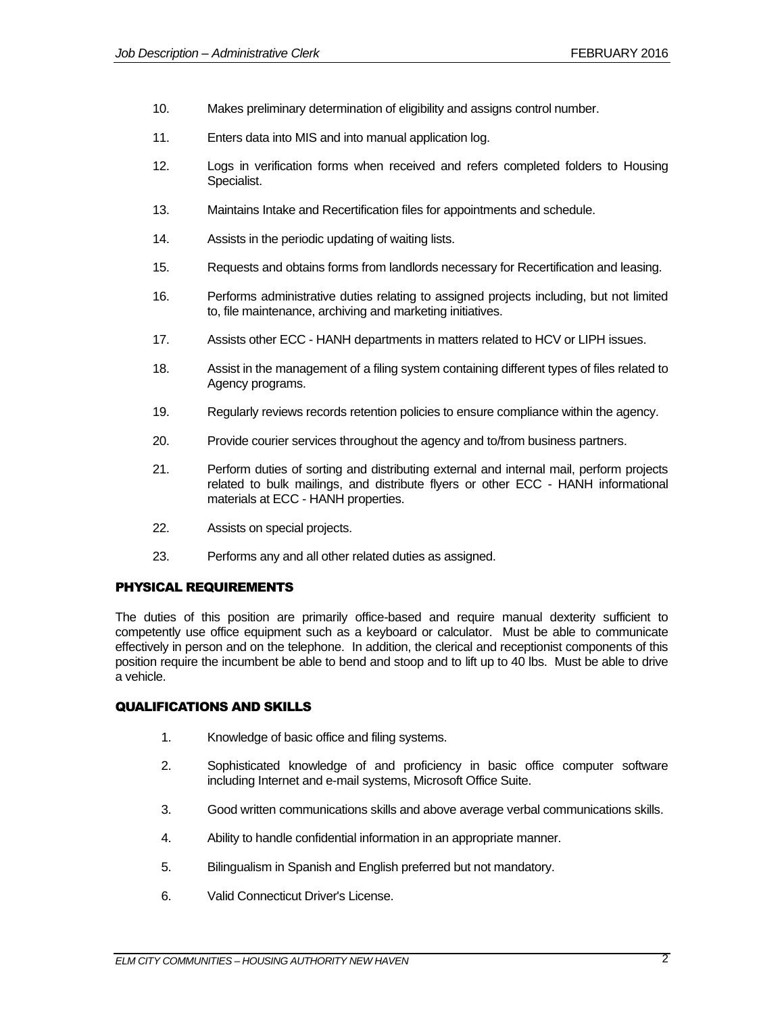- 10. Makes preliminary determination of eligibility and assigns control number.
- 11. Enters data into MIS and into manual application log.
- 12. Logs in verification forms when received and refers completed folders to Housing Specialist.
- 13. Maintains Intake and Recertification files for appointments and schedule.
- 14. Assists in the periodic updating of waiting lists.
- 15. Requests and obtains forms from landlords necessary for Recertification and leasing.
- 16. Performs administrative duties relating to assigned projects including, but not limited to, file maintenance, archiving and marketing initiatives.
- 17. Assists other ECC HANH departments in matters related to HCV or LIPH issues.
- 18. Assist in the management of a filing system containing different types of files related to Agency programs.
- 19. Regularly reviews records retention policies to ensure compliance within the agency.
- 20. Provide courier services throughout the agency and to/from business partners.
- 21. Perform duties of sorting and distributing external and internal mail, perform projects related to bulk mailings, and distribute flyers or other ECC - HANH informational materials at ECC - HANH properties.
- 22. Assists on special projects.
- 23. Performs any and all other related duties as assigned.

## PHYSICAL REQUIREMENTS

The duties of this position are primarily office-based and require manual dexterity sufficient to competently use office equipment such as a keyboard or calculator. Must be able to communicate effectively in person and on the telephone. In addition, the clerical and receptionist components of this position require the incumbent be able to bend and stoop and to lift up to 40 lbs. Must be able to drive a vehicle.

## QUALIFICATIONS AND SKILLS

- 1. Knowledge of basic office and filing systems.
- 2. Sophisticated knowledge of and proficiency in basic office computer software including Internet and e-mail systems, Microsoft Office Suite.
- 3. Good written communications skills and above average verbal communications skills.
- 4. Ability to handle confidential information in an appropriate manner.
- 5. Bilingualism in Spanish and English preferred but not mandatory.
- 6. Valid Connecticut Driver's License.